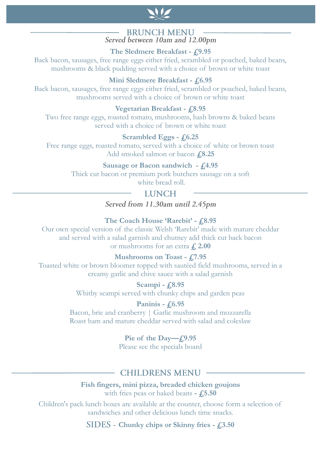

#### **BRUNCH MENU** Served between 10am and 12.00pm

**The Sledmere Breakfast - £9.95**

Back bacon, sausages, free range eggs either fried, scrambled or poached, baked beans, mushrooms & black pudding served with a choice of brown or white toast

#### **Mini Sledmere Breakfast - £6.95**

Back bacon, sausages, free range eggs either fried, scrambled or poached, baked beans, mushrooms served with a choice of brown or white toast

#### **Vegetarian Breakfast - £8.95**

Two free range eggs, roasted tomato, mushrooms, hash browns & baked beans served with a choice of brown or white toast

#### **Scrambled Eggs - £6.25**

Free range eggs, roasted tomato, served with a choice of white or brown toast Add smoked salmon or bacon **£8.25**

#### **Sausage or Bacon sandwich - £4.95**

Thick cut bacon or premium pork butchers sausage on a soft white bread roll.

### **LUNCH**

Served from 11.30am until 2.45pm

#### **The Coach House 'Rarebit' - £8.95**

Our own special version of the classic Welsh 'Rarebit' made with mature cheddar and served with a salad garnish and chutney add thick cut back bacon or mushrooms for an extra **£**, 2.00

#### **Mushrooms on Toast - £7.95**

Toasted white or brown bloomer topped with sautéed field mushrooms, served in a creamy garlic and chive sauce with a salad garnish

> **Scampi - £8.95** Whitby scampi served with chunky chips and garden peas

#### **Paninis - £6.95**

Bacon, brie and cranberry | Garlic mushroom and mozzarella Roast ham and mature cheddar served with salad and coleslaw

#### **Pie of the Day—£9.95**

Please see the specials board

## **CHILDRENS MENU -**

**Fish fingers, mini pizza, breaded chicken goujons** with fries peas or baked beans **- £5.50**

Children's pack lunch boxes are available at the counter, choose form a selection of sandwiches and other delicious lunch time snacks.

**Chunky chips or Skinny fries - £3.50**